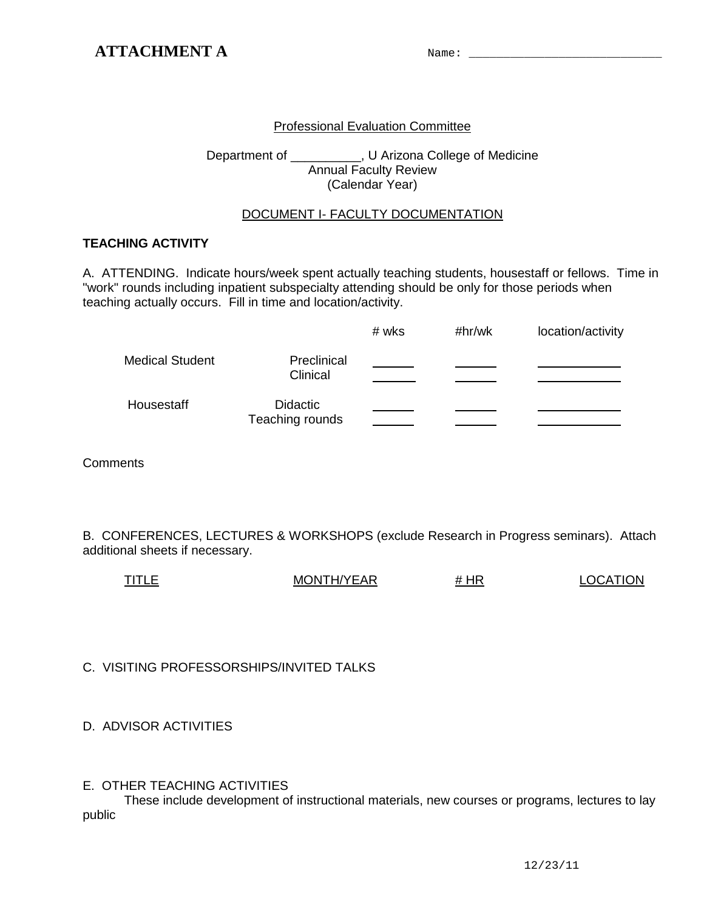## Professional Evaluation Committee

Department of \_\_\_\_\_\_\_\_\_\_, U Arizona College of Medicine Annual Faculty Review (Calendar Year)

### DOCUMENT I- FACULTY DOCUMENTATION

## **TEACHING ACTIVITY**

A. ATTENDING. Indicate hours/week spent actually teaching students, housestaff or fellows. Time in "work" rounds including inpatient subspecialty attending should be only for those periods when teaching actually occurs. Fill in time and location/activity.

|                        |                                    | # wks | #hr/wk | location/activity |
|------------------------|------------------------------------|-------|--------|-------------------|
| <b>Medical Student</b> | Preclinical<br>Clinical            |       |        |                   |
| Housestaff             | <b>Didactic</b><br>Teaching rounds |       |        |                   |

**Comments** 

B. CONFERENCES, LECTURES & WORKSHOPS (exclude Research in Progress seminars). Attach additional sheets if necessary.

| <b>TITLE</b> | MONTH/YEAR | # HR | <b>LOCATION</b> |
|--------------|------------|------|-----------------|
|              |            |      |                 |

C. VISITING PROFESSORSHIPS/INVITED TALKS

D. ADVISOR ACTIVITIES

### E. OTHER TEACHING ACTIVITIES

These include development of instructional materials, new courses or programs, lectures to lay public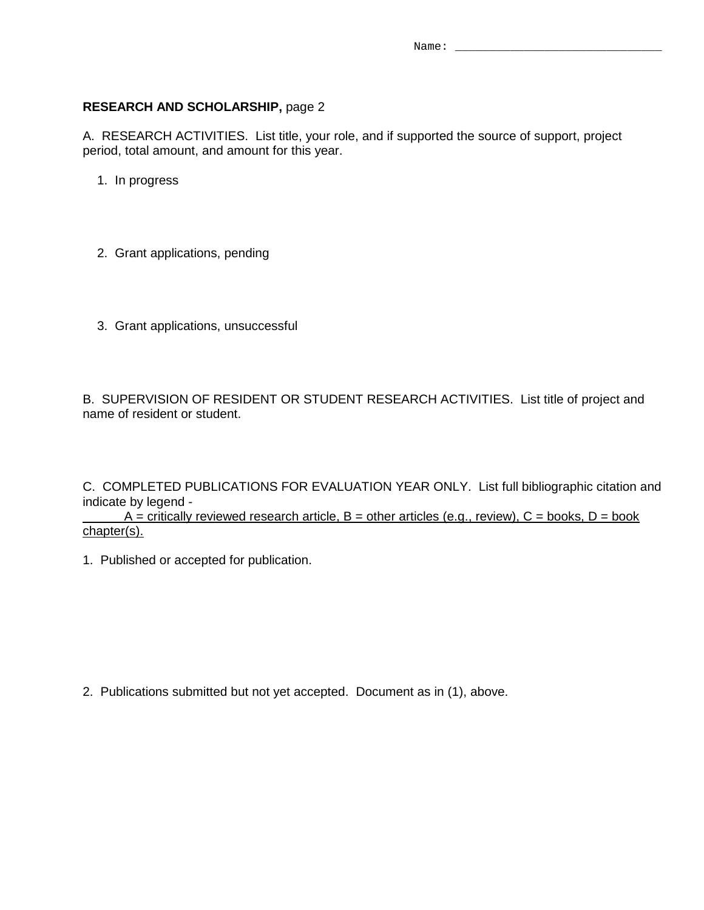### **RESEARCH AND SCHOLARSHIP,** page 2

A. RESEARCH ACTIVITIES. List title, your role, and if supported the source of support, project period, total amount, and amount for this year.

1. In progress

2. Grant applications, pending

3. Grant applications, unsuccessful

B. SUPERVISION OF RESIDENT OR STUDENT RESEARCH ACTIVITIES. List title of project and name of resident or student.

C. COMPLETED PUBLICATIONS FOR EVALUATION YEAR ONLY. List full bibliographic citation and indicate by legend -

 $A =$  critically reviewed research article,  $B =$  other articles (e.g., review),  $C =$  books,  $D =$  book chapter(s).

1. Published or accepted for publication.

2. Publications submitted but not yet accepted. Document as in (1), above.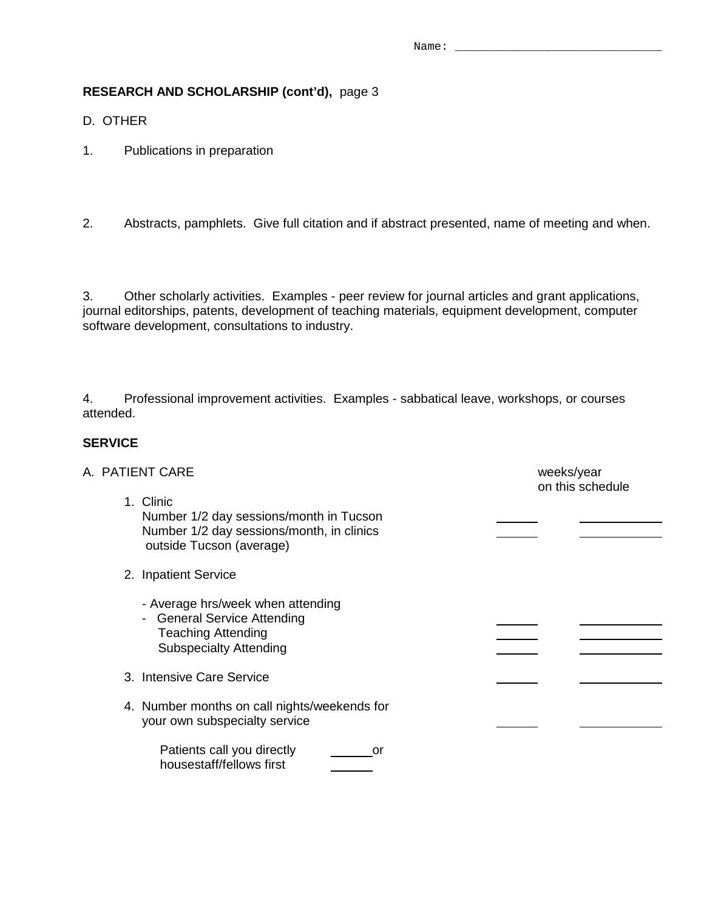## **RESEARCH AND SCHOLARSHIP (cont'd),** page 3

D. OTHER

- 1. Publications in preparation
- 2. Abstracts, pamphlets. Give full citation and if abstract presented, name of meeting and when.

3. Other scholarly activities. Examples - peer review for journal articles and grant applications, journal editorships, patents, development of teaching materials, equipment development, computer software development, consultations to industry.

4. Professional improvement activities. Examples - sabbatical leave, workshops, or courses attended.

### **SERVICE**

| A. PATIENT CARE                                                                                                                     | weeks/year<br>on this schedule |  |
|-------------------------------------------------------------------------------------------------------------------------------------|--------------------------------|--|
| 1. Clinic<br>Number 1/2 day sessions/month in Tucson<br>Number 1/2 day sessions/month, in clinics<br>outside Tucson (average)       |                                |  |
| 2. Inpatient Service                                                                                                                |                                |  |
| - Average hrs/week when attending<br><b>General Service Attending</b><br><b>Teaching Attending</b><br><b>Subspecialty Attending</b> |                                |  |
| 3. Intensive Care Service                                                                                                           |                                |  |
| 4. Number months on call nights/weekends for<br>your own subspecialty service                                                       |                                |  |
| Patients call you directly<br>or<br>housestaff/fellows first                                                                        |                                |  |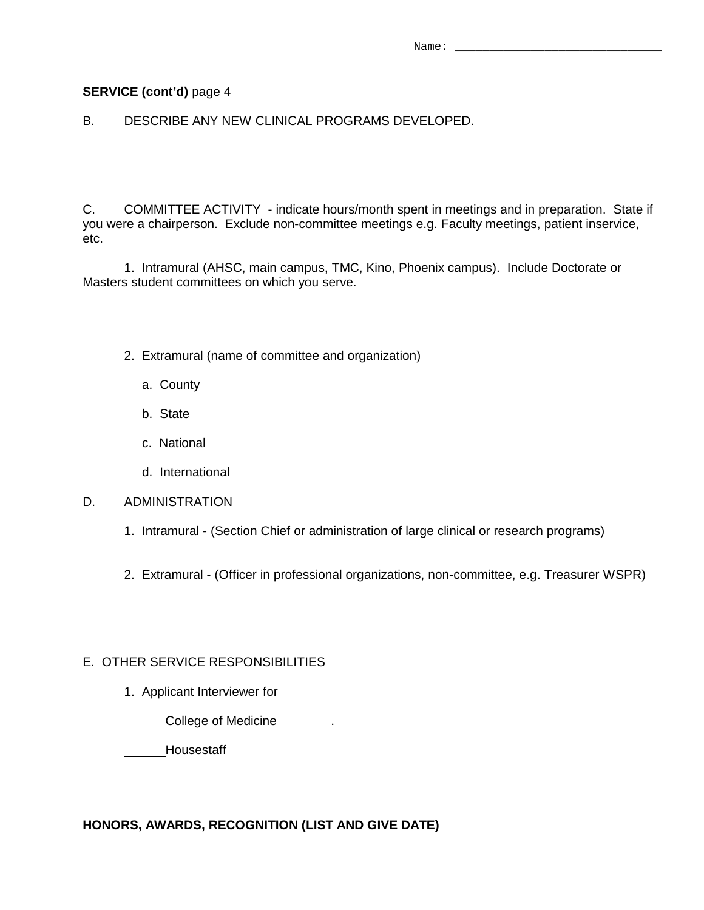### **SERVICE (cont'd)** page 4

B. DESCRIBE ANY NEW CLINICAL PROGRAMS DEVELOPED.

C. COMMITTEE ACTIVITY - indicate hours/month spent in meetings and in preparation. State if you were a chairperson. Exclude non-committee meetings e.g. Faculty meetings, patient inservice, etc.

1. Intramural (AHSC, main campus, TMC, Kino, Phoenix campus). Include Doctorate or Masters student committees on which you serve.

- 2. Extramural (name of committee and organization)
	- a. County
	- b. State
	- c. National
	- d. International

#### D. ADMINISTRATION

- 1. Intramural (Section Chief or administration of large clinical or research programs)
- 2. Extramural (Officer in professional organizations, non-committee, e.g. Treasurer WSPR)

### E. OTHER SERVICE RESPONSIBILITIES

1. Applicant Interviewer for

**College of Medicine** 2014

Housestaff

### **HONORS, AWARDS, RECOGNITION (LIST AND GIVE DATE)**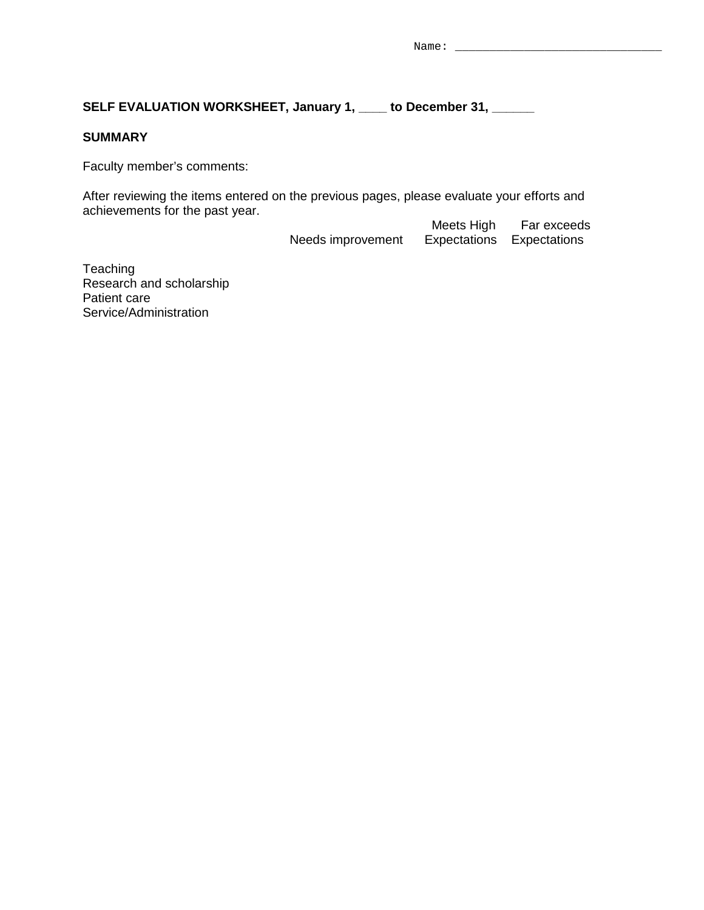## **SELF EVALUATION WORKSHEET, January 1, \_\_\_\_ to December 31, \_\_\_\_\_\_**

## **SUMMARY**

Faculty member's comments:

After reviewing the items entered on the previous pages, please evaluate your efforts and achievements for the past year.

Meets High Far exceeds<br>Needs improvement Expectations Expectations Expectations Expectations

**Teaching** Research and scholarship Patient care Service/Administration